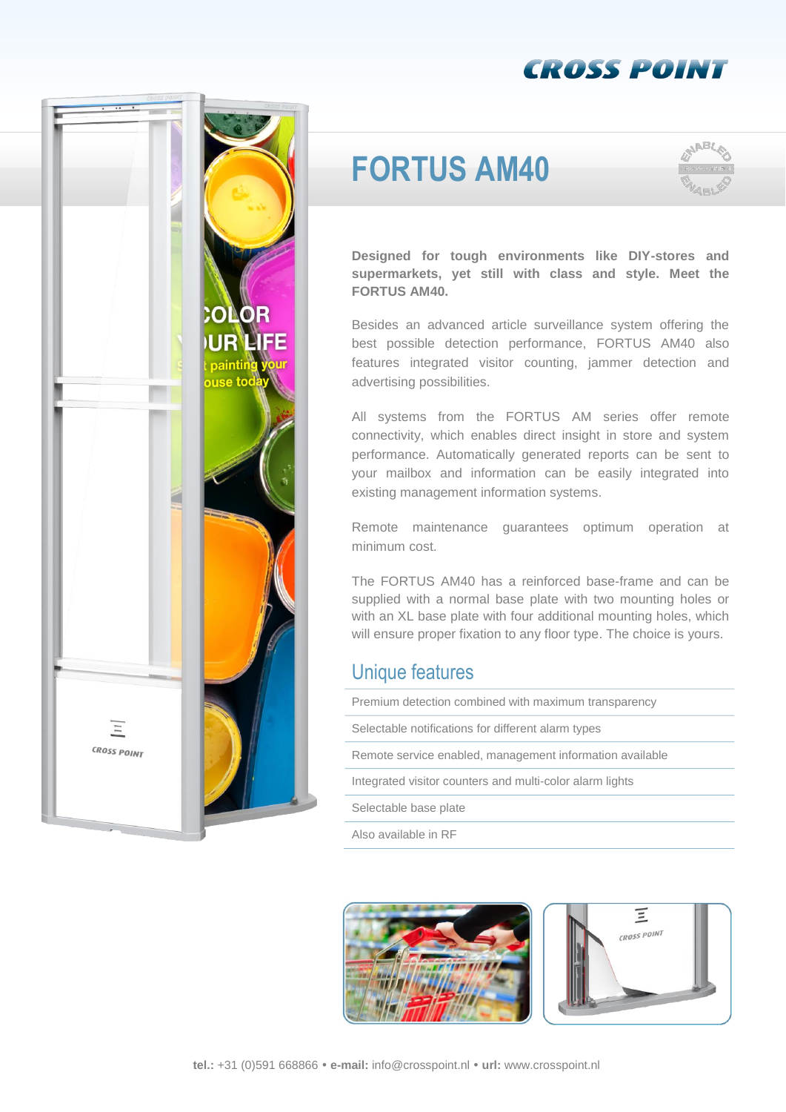## **CROSS POINT**



# **FORTUS AM40**



**Designed for tough environments like DIY-stores and supermarkets, yet still with class and style. Meet the FORTUS AM40.**

Besides an advanced article surveillance system offering the best possible detection performance, FORTUS AM40 also features integrated visitor counting, jammer detection and advertising possibilities.

All systems from the FORTUS AM series offer remote connectivity, which enables direct insight in store and system performance. Automatically generated reports can be sent to your mailbox and information can be easily integrated into existing management information systems.

Remote maintenance guarantees optimum operation at minimum cost.

The FORTUS AM40 has a reinforced base-frame and can be supplied with a normal base plate with two mounting holes or with an XL base plate with four additional mounting holes, which will ensure proper fixation to any floor type. The choice is yours.

#### Unique features

Premium detection combined with maximum transparency

Selectable notifications for different alarm types

- Remote service enabled, management information available
- Integrated visitor counters and multi-color alarm lights
- Selectable base plate

Also available in RF